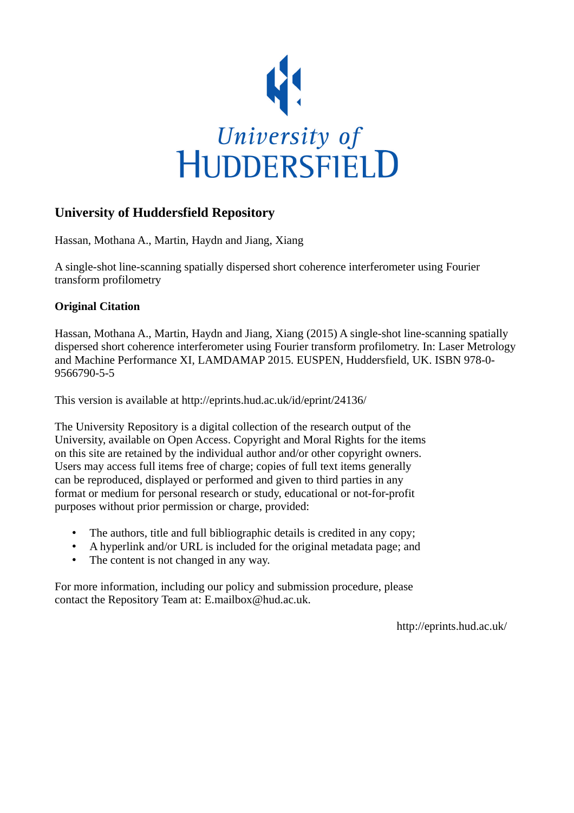

## **University of Huddersfield Repository**

Hassan, Mothana A., Martin, Haydn and Jiang, Xiang

A single-shot line-scanning spatially dispersed short coherence interferometer using Fourier transform profilometry

## **Original Citation**

Hassan, Mothana A., Martin, Haydn and Jiang, Xiang (2015) A single-shot line-scanning spatially dispersed short coherence interferometer using Fourier transform profilometry. In: Laser Metrology and Machine Performance XI, LAMDAMAP 2015. EUSPEN, Huddersfield, UK. ISBN 978-0- 9566790-5-5

This version is available at http://eprints.hud.ac.uk/id/eprint/24136/

The University Repository is a digital collection of the research output of the University, available on Open Access. Copyright and Moral Rights for the items on this site are retained by the individual author and/or other copyright owners. Users may access full items free of charge; copies of full text items generally can be reproduced, displayed or performed and given to third parties in any format or medium for personal research or study, educational or not-for-profit purposes without prior permission or charge, provided:

- The authors, title and full bibliographic details is credited in any copy;
- A hyperlink and/or URL is included for the original metadata page; and
- The content is not changed in any way.

For more information, including our policy and submission procedure, please contact the Repository Team at: E.mailbox@hud.ac.uk.

http://eprints.hud.ac.uk/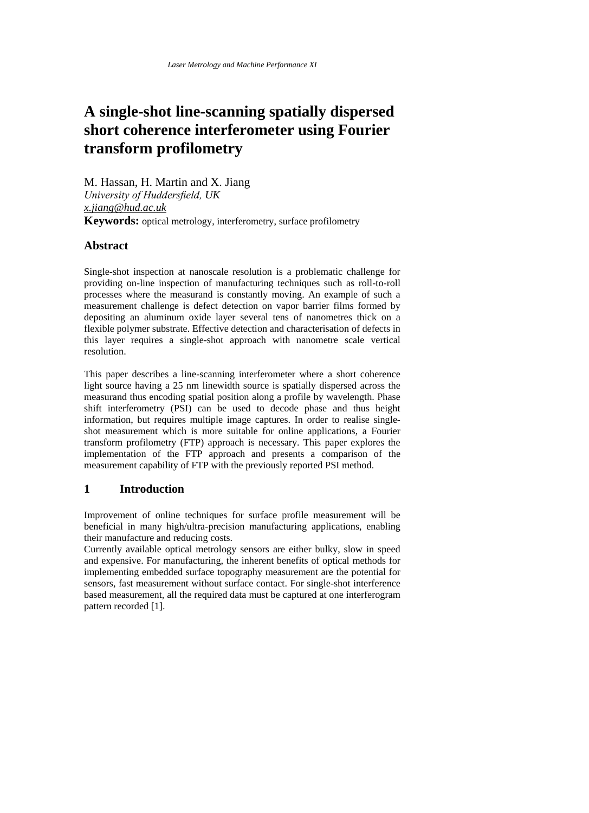# **A single-shot line-scanning spatially dispersed short coherence interferometer using Fourier transform profilometry**

M. Hassan, H. Martin and X. Jiang *University of Huddersfield, UK x.jiang@hud.ac.uk* **Keywords:** optical metrology, interferometry, surface profilometry

## **Abstract**

Single-shot inspection at nanoscale resolution is a problematic challenge for providing on-line inspection of manufacturing techniques such as roll-to-roll processes where the measurand is constantly moving. An example of such a measurement challenge is defect detection on vapor barrier films formed by depositing an aluminum oxide layer several tens of nanometres thick on a flexible polymer substrate. Effective detection and characterisation of defects in this layer requires a single-shot approach with nanometre scale vertical resolution.

This paper describes a line-scanning interferometer where a short coherence light source having a 25 nm linewidth source is spatially dispersed across the measurand thus encoding spatial position along a profile by wavelength. Phase shift interferometry (PSI) can be used to decode phase and thus height information, but requires multiple image captures. In order to realise singleshot measurement which is more suitable for online applications, a Fourier transform profilometry (FTP) approach is necessary. This paper explores the implementation of the FTP approach and presents a comparison of the measurement capability of FTP with the previously reported PSI method.

## **1 Introduction**

Improvement of online techniques for surface profile measurement will be beneficial in many high/ultra-precision manufacturing applications, enabling their manufacture and reducing costs.

Currently available optical metrology sensors are either bulky, slow in speed and expensive. For manufacturing, the inherent benefits of optical methods for implementing embedded surface topography measurement are the potential for sensors, fast measurement without surface contact. For single-shot interference based measurement, all the required data must be captured at one interferogram pattern recorded [1].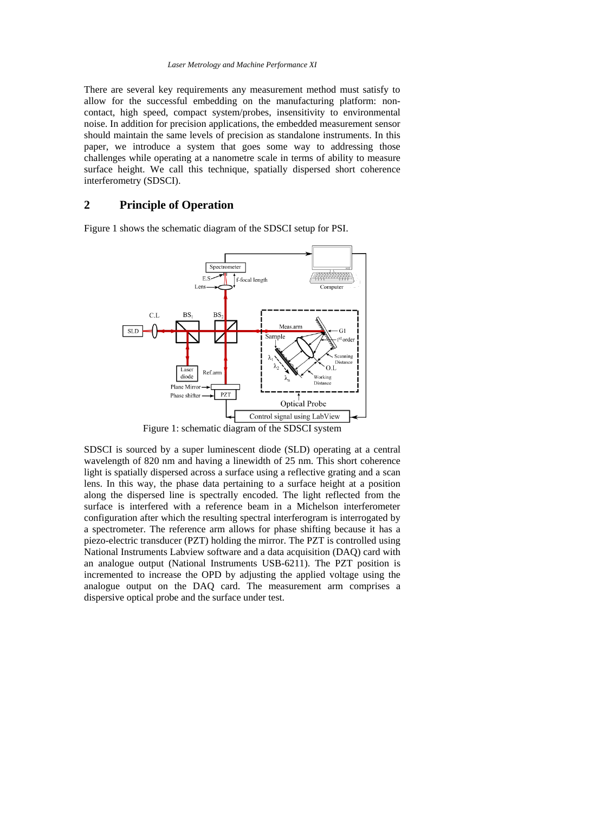There are several key requirements any measurement method must satisfy to allow for the successful embedding on the manufacturing platform: noncontact, high speed, compact system/probes, insensitivity to environmental noise. In addition for precision applications, the embedded measurement sensor should maintain the same levels of precision as standalone instruments. In this paper, we introduce a system that goes some way to addressing those challenges while operating at a nanometre scale in terms of ability to measure surface height. We call this technique, spatially dispersed short coherence interferometry (SDSCI).

## **2 Principle of Operation**

Figure 1 shows the schematic diagram of the SDSCI setup for PSI.



Figure 1: schematic diagram of the SDSCI system

SDSCI is sourced by a super luminescent diode (SLD) operating at a central wavelength of 820 nm and having a linewidth of 25 nm. This short coherence light is spatially dispersed across a surface using a reflective grating and a scan lens. In this way, the phase data pertaining to a surface height at a position along the dispersed line is spectrally encoded. The light reflected from the surface is interfered with a reference beam in a Michelson interferometer configuration after which the resulting spectral interferogram is interrogated by a spectrometer. The reference arm allows for phase shifting because it has a piezo-electric transducer (PZT) holding the mirror. The PZT is controlled using National Instruments Labview software and a data acquisition (DAQ) card with an analogue output (National Instruments USB-6211). The PZT position is incremented to increase the OPD by adjusting the applied voltage using the analogue output on the DAQ card. The measurement arm comprises a dispersive optical probe and the surface under test.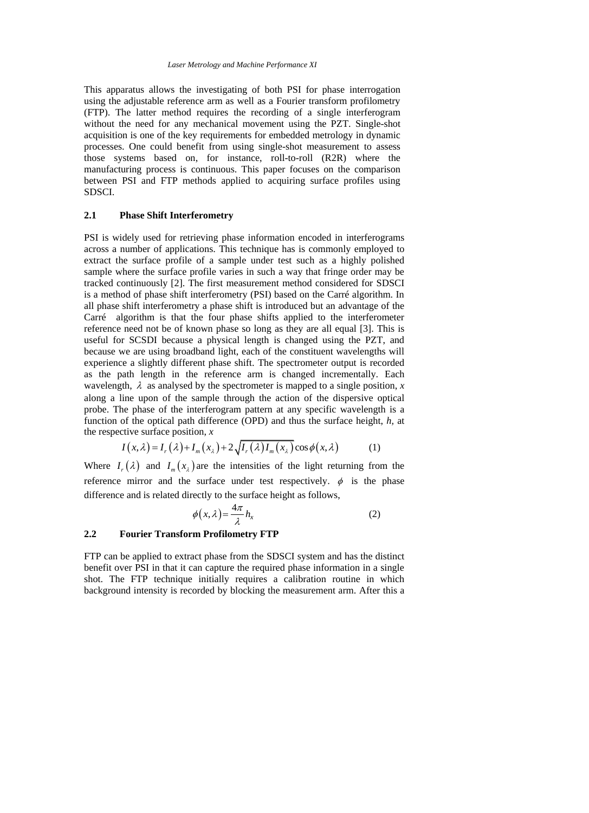This apparatus allows the investigating of both PSI for phase interrogation using the adjustable reference arm as well as a Fourier transform profilometry (FTP). The latter method requires the recording of a single interferogram without the need for any mechanical movement using the PZT. Single-shot acquisition is one of the key requirements for embedded metrology in dynamic processes. One could benefit from using single-shot measurement to assess those systems based on, for instance, roll-to-roll (R2R) where the manufacturing process is continuous. This paper focuses on the comparison between PSI and FTP methods applied to acquiring surface profiles using SDSCI.

#### **2.1 Phase Shift Interferometry**

PSI is widely used for retrieving phase information encoded in interferograms across a number of applications. This technique has is commonly employed to extract the surface profile of a sample under test such as a highly polished sample where the surface profile varies in such a way that fringe order may be tracked continuously [2]. The first measurement method considered for SDSCI is a method of phase shift interferometry (PSI) based on the Carré algorithm. In all phase shift interferometry a phase shift is introduced but an advantage of the Carré algorithm is that the four phase shifts applied to the interferometer reference need not be of known phase so long as they are all equal [3]. This is useful for SCSDI because a physical length is changed using the PZT, and because we are using broadband light, each of the constituent wavelengths will experience a slightly different phase shift. The spectrometer output is recorded as the path length in the reference arm is changed incrementally. Each wavelength,  $\lambda$  as analysed by the spectrometer is mapped to a single position,  $x$ along a line upon of the sample through the action of the dispersive optical probe. The phase of the interferogram pattern at any specific wavelength is a function of the optical path difference (OPD) and thus the surface height, *h,* at

the respective surface position, 
$$
x
$$
  
\n
$$
I(x,\lambda) = I_r(\lambda) + I_m(x_\lambda) + 2\sqrt{I_r(\lambda)I_m(x_\lambda)}\cos\phi(x,\lambda)
$$
\n(1)

Where  $I_r(\lambda)$  and  $I_m(x_\lambda)$  are the intensities of the light returning from the reference mirror and the surface under test respectively.  $\phi$  is the phase difference and is related directly to the surface height as follows,

$$
\phi(x,\lambda) = \frac{4\pi}{\lambda} h_x \tag{2}
$$

#### **2.2 Fourier Transform Profilometry FTP**

FTP can be applied to extract phase from the SDSCI system and has the distinct benefit over PSI in that it can capture the required phase information in a single shot. The FTP technique initially requires a calibration routine in which background intensity is recorded by blocking the measurement arm. After this a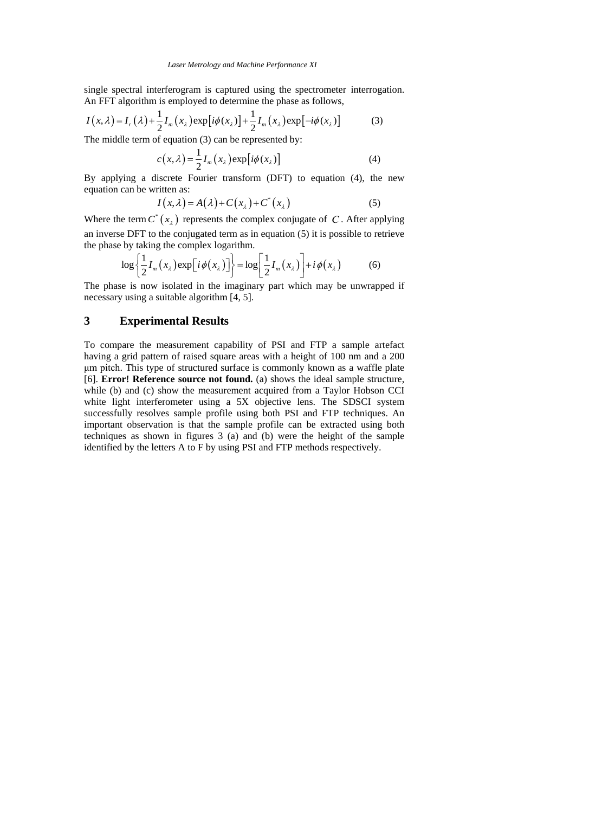single spectral interferogram is captured using the spectrometer interrogation. An FFT algorithm is employed to determine the phase as follows,

single spectral interferogram is captured using the spectrometer interroga  
An FFT algorithm is employed to determine the phase as follows,  

$$
I(x, \lambda) = I_r(\lambda) + \frac{1}{2}I_m(x_\lambda) \exp[i\phi(x_\lambda)] + \frac{1}{2}I_m(x_\lambda) \exp[-i\phi(x_\lambda)]
$$
(3)  
The middle term of equation (3) can be represented by:

$$
c(x,\lambda) = \frac{1}{2}I_m(x_\lambda) \exp[i\phi(x_\lambda)]
$$
 (4)

By applying a discrete Fourier transform (DFT) to equation (4), the new equation can be written as:

$$
I(x,\lambda) = A(\lambda) + C(x_{\lambda}) + C^{*}(x_{\lambda})
$$
\n(5)

Where the term  $C^*(x_\lambda)$  represents the complex conjugate of C. After applying an inverse DFT to the conjugated term as in equation (5) it is possible to retrieve

the phase by taking the complex logarithm.  
\n
$$
\log \left\{ \frac{1}{2} I_m(x_\lambda) \exp[i\phi(x_\lambda)] \right\} = \log \left[ \frac{1}{2} I_m(x_\lambda) \right] + i\phi(x_\lambda)
$$
\n(6)

The phase is now isolated in the imaginary part which may be unwrapped if necessary using a suitable algorithm [4, 5].

### **3 Experimental Results**

To compare the measurement capability of PSI and FTP a sample artefact having a grid pattern of raised square areas with a height of 100 nm and a 200 μm pitch. This type of structured surface is commonly known as a waffle plate [6]. **Error! Reference source not found.** (a) shows the ideal sample structure, while (b) and (c) show the measurement acquired from a Taylor Hobson CCI white light interferometer using a 5X objective lens. The SDSCI system successfully resolves sample profile using both PSI and FTP techniques. An important observation is that the sample profile can be extracted using both techniques as shown in figures 3 (a) and (b) were the height of the sample identified by the letters A to F by using PSI and FTP methods respectively.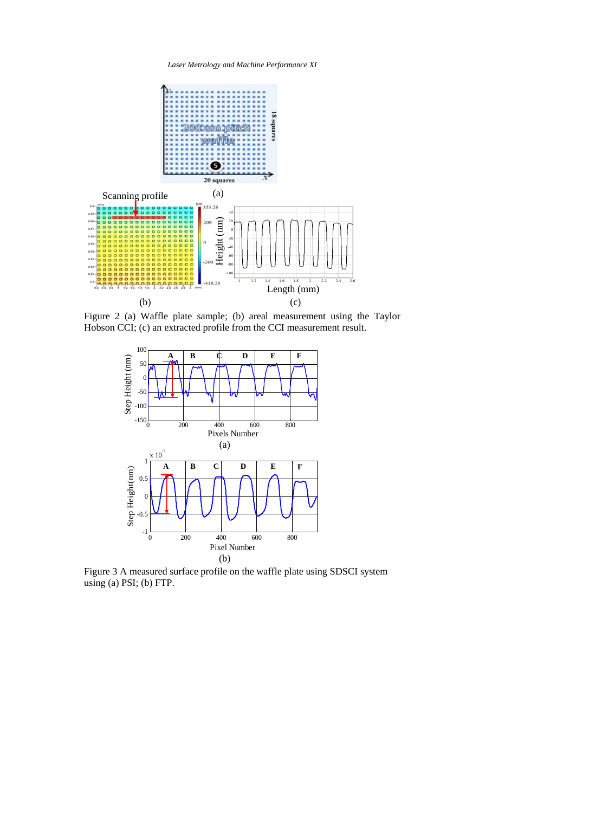*Laser Metrology and Machine Performance XI*



Figure 2 (a) Waffle plate sample; (b) areal measurement using the Taylor Hobson CCI; (c) an extracted profile from the CCI measurement result.



Figure 3 A measured surface profile on the waffle plate using SDSCI system using (a) PSI; (b) FTP.